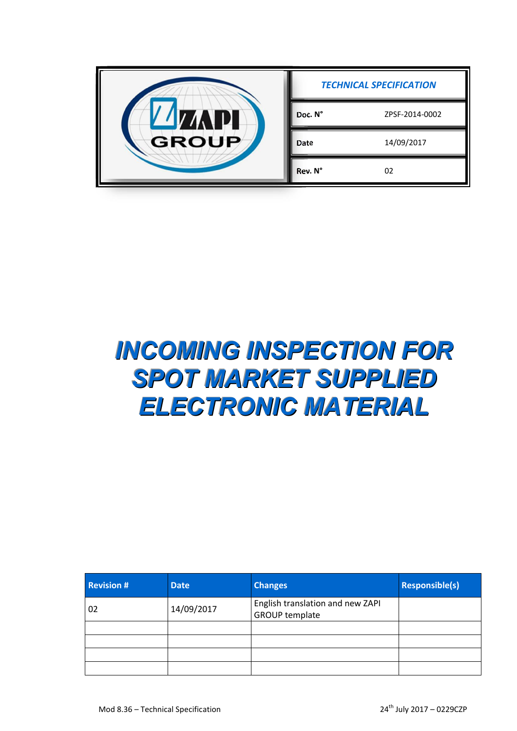| <b>GROUP</b> | <b>TECHNICAL SPECIFICATION</b> |                |
|--------------|--------------------------------|----------------|
|              | Doc. N°                        | ZPSF-2014-0002 |
|              | Date                           | 14/09/2017     |
|              | Rev. N°                        | 02             |

# *INCOMING INSPECTION FOR SPOT MARKET SUPPLIED ELECTRONIC MATERIAL*

| <b>Revision #</b> | <b>Date</b> | <b>Changes</b>                                            | <b>Responsible(s)</b> |
|-------------------|-------------|-----------------------------------------------------------|-----------------------|
| 02                | 14/09/2017  | English translation and new ZAPI<br><b>GROUP template</b> |                       |
|                   |             |                                                           |                       |
|                   |             |                                                           |                       |
|                   |             |                                                           |                       |
|                   |             |                                                           |                       |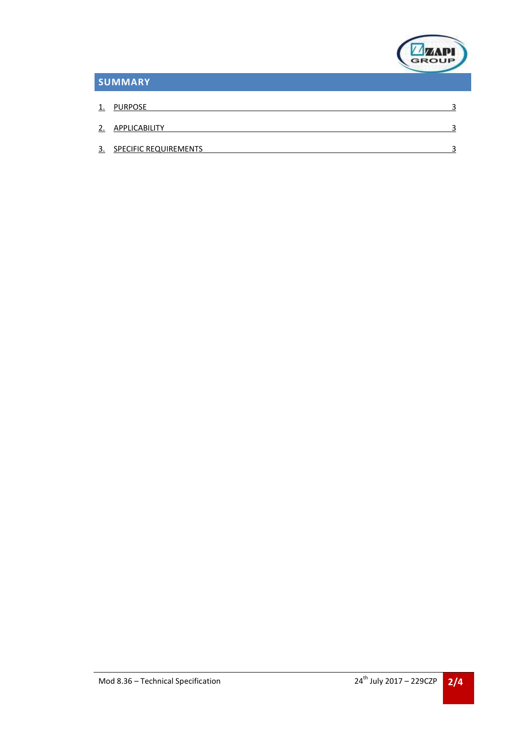

## SUMMARY

l

| 1. | PURPOSE                      |  |
|----|------------------------------|--|
|    | 2. APPLICABILITY             |  |
| 3. | <b>SPECIFIC REQUIREMENTS</b> |  |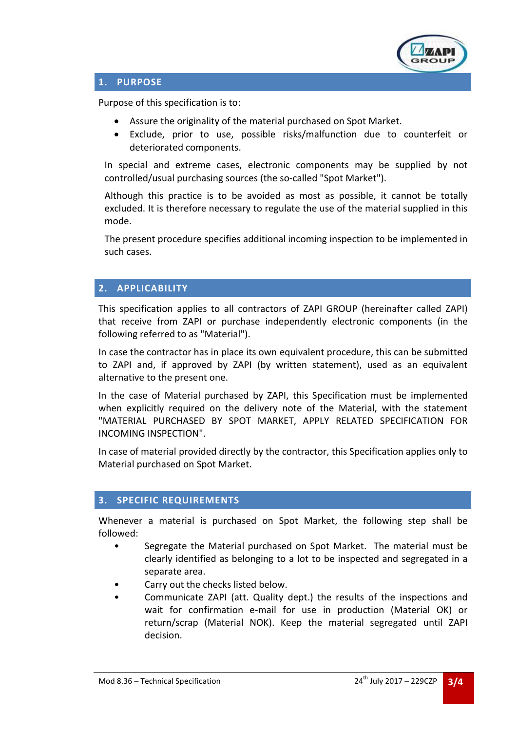

#### l 1. PURPOSE

Purpose of this specification is to:

- Assure the originality of the material purchased on Spot Market.
- Exclude, prior to use, possible risks/malfunction due to counterfeit or deteriorated components.

In special and extreme cases, electronic components may be supplied by not controlled/usual purchasing sources (the so-called "Spot Market").

Although this practice is to be avoided as most as possible, it cannot be totally excluded. It is therefore necessary to regulate the use of the material supplied in this mode.

The present procedure specifies additional incoming inspection to be implemented in such cases.

#### 2. APPLICABILITY

This specification applies to all contractors of ZAPI GROUP (hereinafter called ZAPI) that receive from ZAPI or purchase independently electronic components (in the following referred to as "Material").

In case the contractor has in place its own equivalent procedure, this can be submitted to ZAPI and, if approved by ZAPI (by written statement), used as an equivalent alternative to the present one.

In the case of Material purchased by ZAPI, this Specification must be implemented when explicitly required on the delivery note of the Material, with the statement "MATERIAL PURCHASED BY SPOT MARKET, APPLY RELATED SPECIFICATION FOR INCOMING INSPECTION".

In case of material provided directly by the contractor, this Specification applies only to Material purchased on Spot Market.

#### 3. SPECIFIC REQUIREMENTS

Whenever a material is purchased on Spot Market, the following step shall be followed:

- Segregate the Material purchased on Spot Market. The material must be clearly identified as belonging to a lot to be inspected and segregated in a separate area.
- Carry out the checks listed below.
- Communicate ZAPI (att. Quality dept.) the results of the inspections and wait for confirmation e-mail for use in production (Material OK) or return/scrap (Material NOK). Keep the material segregated until ZAPI decision.